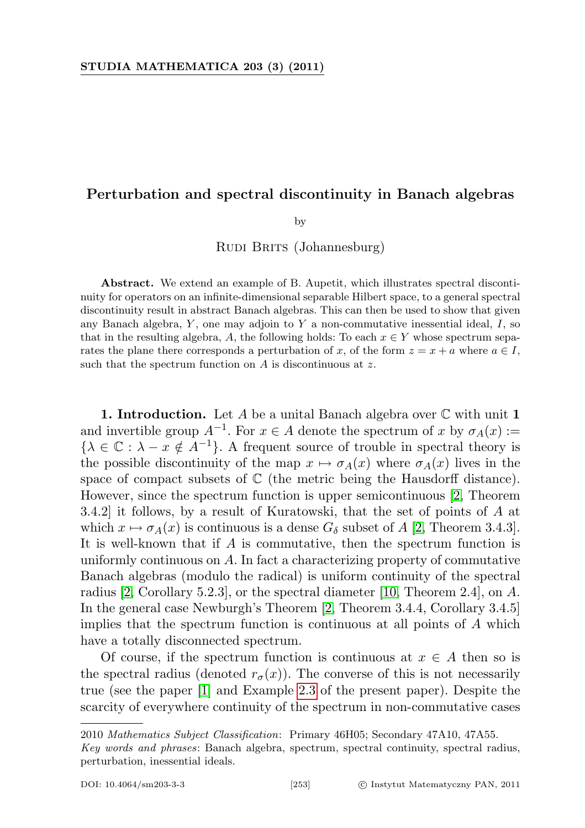## Perturbation and spectral discontinuity in Banach algebras

by

RUDI BRITS (Johannesburg)

Abstract. We extend an example of B. Aupetit, which illustrates spectral discontinuity for operators on an infinite-dimensional separable Hilbert space, to a general spectral discontinuity result in abstract Banach algebras. This can then be used to show that given any Banach algebra,  $Y$ , one may adjoin to  $Y$  a non-commutative inessential ideal,  $I$ , so that in the resulting algebra, A, the following holds: To each  $x \in Y$  whose spectrum separates the plane there corresponds a perturbation of x, of the form  $z = x + a$  where  $a \in I$ , such that the spectrum function on  $A$  is discontinuous at  $z$ .

**1. Introduction.** Let A be a unital Banach algebra over  $\mathbb C$  with unit **1** and invertible group  $A^{-1}$ . For  $x \in A$  denote the spectrum of x by  $\sigma_A(x) :=$  ${\lambda \in \mathbb{C} : \lambda - x \notin A^{-1}}$ . A frequent source of trouble in spectral theory is the possible discontinuity of the map  $x \mapsto \sigma_A(x)$  where  $\sigma_A(x)$  lives in the space of compact subsets of  $\mathbb C$  (the metric being the Hausdorff distance). However, since the spectrum function is upper semicontinuous [\[2,](#page-10-0) Theorem 3.4.2] it follows, by a result of Kuratowski, that the set of points of A at which  $x \mapsto \sigma_A(x)$  is continuous is a dense  $G_\delta$  subset of A [\[2,](#page-10-0) Theorem 3.4.3]. It is well-known that if A is commutative, then the spectrum function is uniformly continuous on A. In fact a characterizing property of commutative Banach algebras (modulo the radical) is uniform continuity of the spectral radius [\[2,](#page-10-0) Corollary 5.2.3], or the spectral diameter [\[10,](#page-10-1) Theorem 2.4], on A. In the general case Newburgh's Theorem [\[2,](#page-10-0) Theorem 3.4.4, Corollary 3.4.5] implies that the spectrum function is continuous at all points of A which have a totally disconnected spectrum.

Of course, if the spectrum function is continuous at  $x \in A$  then so is the spectral radius (denoted  $r_{\sigma}(x)$ ). The converse of this is not necessarily true (see the paper [\[1\]](#page-10-2) and Example [2.3](#page-8-0) of the present paper). Despite the scarcity of everywhere continuity of the spectrum in non-commutative cases

<sup>2010</sup> Mathematics Subject Classification: Primary 46H05; Secondary 47A10, 47A55.

Key words and phrases: Banach algebra, spectrum, spectral continuity, spectral radius, perturbation, inessential ideals.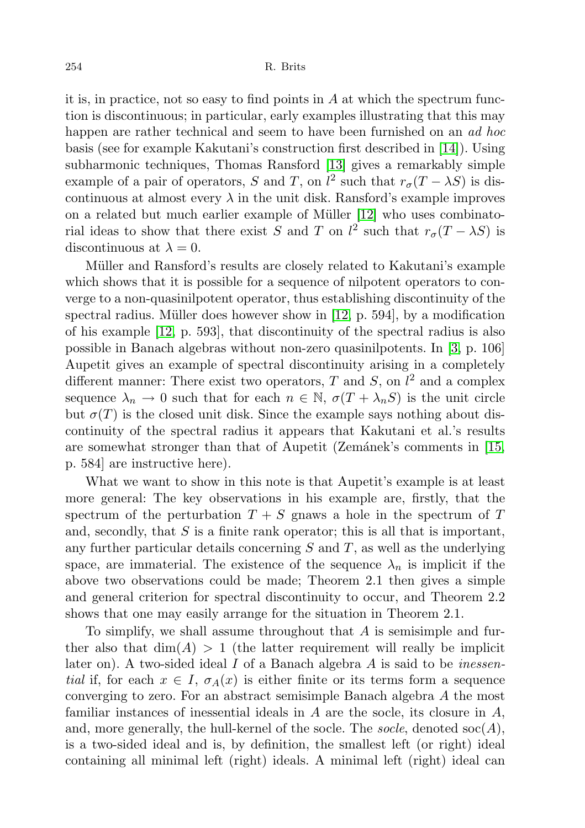it is, in practice, not so easy to find points in  $A$  at which the spectrum function is discontinuous; in particular, early examples illustrating that this may happen are rather technical and seem to have been furnished on an *ad hoc* basis (see for example Kakutani's construction first described in [\[14\]](#page-10-3)). Using subharmonic techniques, Thomas Ransford [\[13\]](#page-10-4) gives a remarkably simple example of a pair of operators, S and T, on  $l^2$  such that  $r_{\sigma}(T - \lambda S)$  is discontinuous at almost every  $\lambda$  in the unit disk. Ransford's example improves on a related but much earlier example of Müller  $[12]$  who uses combinatorial ideas to show that there exist S and T on  $l^2$  such that  $r_{\sigma}(T - \lambda S)$  is discontinuous at  $\lambda = 0$ .

Müller and Ransford's results are closely related to Kakutani's example which shows that it is possible for a sequence of nilpotent operators to converge to a non-quasinilpotent operator, thus establishing discontinuity of the spectral radius. Müller does however show in  $[12, p. 594]$  $[12, p. 594]$ , by a modification of his example [\[12,](#page-10-5) p. 593], that discontinuity of the spectral radius is also possible in Banach algebras without non-zero quasinilpotents. In [\[3,](#page-10-6) p. 106] Aupetit gives an example of spectral discontinuity arising in a completely different manner: There exist two operators, T and S, on  $l^2$  and a complex sequence  $\lambda_n \to 0$  such that for each  $n \in \mathbb{N}$ ,  $\sigma(T + \lambda_n S)$  is the unit circle but  $\sigma(T)$  is the closed unit disk. Since the example says nothing about discontinuity of the spectral radius it appears that Kakutani et al.'s results are somewhat stronger than that of Aupetit (Zemánek's comments in  $[15,$ p. 584] are instructive here).

What we want to show in this note is that Aupetit's example is at least more general: The key observations in his example are, firstly, that the spectrum of the perturbation  $T + S$  gnaws a hole in the spectrum of T and, secondly, that  $S$  is a finite rank operator; this is all that is important, any further particular details concerning  $S$  and  $T$ , as well as the underlying space, are immaterial. The existence of the sequence  $\lambda_n$  is implicit if the above two observations could be made; Theorem 2.1 then gives a simple and general criterion for spectral discontinuity to occur, and Theorem 2.2 shows that one may easily arrange for the situation in Theorem 2.1.

To simplify, we shall assume throughout that A is semisimple and further also that  $\dim(A) > 1$  (the latter requirement will really be implicit later on). A two-sided ideal  $I$  of a Banach algebra  $A$  is said to be *inessen*tial if, for each  $x \in I$ ,  $\sigma_A(x)$  is either finite or its terms form a sequence converging to zero. For an abstract semisimple Banach algebra A the most familiar instances of inessential ideals in  $A$  are the socle, its closure in  $A$ , and, more generally, the hull-kernel of the socle. The socle, denoted  $\operatorname{soc}(A)$ , is a two-sided ideal and is, by definition, the smallest left (or right) ideal containing all minimal left (right) ideals. A minimal left (right) ideal can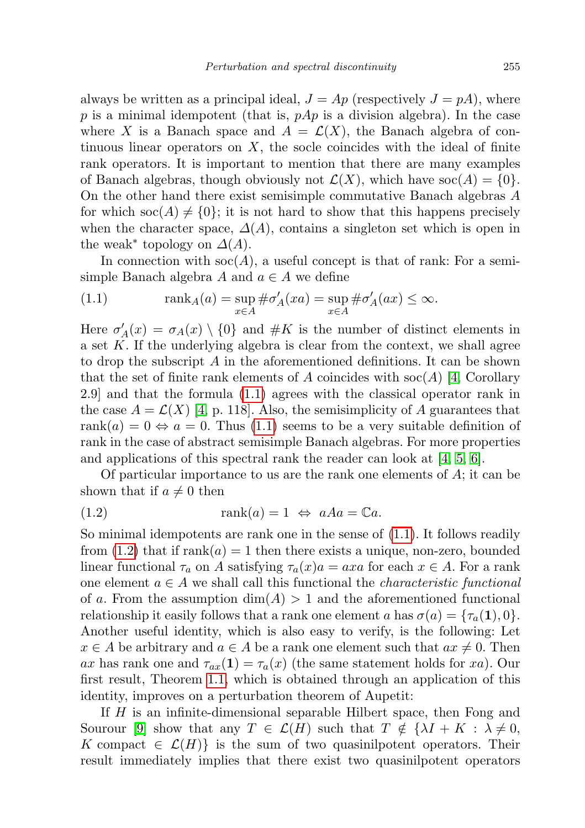always be written as a principal ideal,  $J = Ap$  (respectively  $J = pA$ ), where p is a minimal idempotent (that is,  $pAp$  is a division algebra). In the case where X is a Banach space and  $A = \mathcal{L}(X)$ , the Banach algebra of continuous linear operators on  $X$ , the socle coincides with the ideal of finite rank operators. It is important to mention that there are many examples of Banach algebras, though obviously not  $\mathcal{L}(X)$ , which have soc $(A) = \{0\}$ . On the other hand there exist semisimple commutative Banach algebras A for which  $\operatorname{soc}(A) \neq \{0\}$ ; it is not hard to show that this happens precisely when the character space,  $\Delta(A)$ , contains a singleton set which is open in the weak<sup>\*</sup> topology on  $\Delta(A)$ .

In connection with  $\operatorname{soc}(A)$ , a useful concept is that of rank: For a semisimple Banach algebra A and  $a \in A$  we define

<span id="page-2-0"></span>(1.1) 
$$
\operatorname{rank}_A(a) = \sup_{x \in A} \# \sigma'_A(xa) = \sup_{x \in A} \# \sigma'_A(ax) \le \infty.
$$

Here  $\sigma'_{A}(x) = \sigma_{A}(x) \setminus \{0\}$  and  $\#K$  is the number of distinct elements in a set  $K$ . If the underlying algebra is clear from the context, we shall agree to drop the subscript A in the aforementioned definitions. It can be shown that the set of finite rank elements of A coincides with  $\operatorname{soc}(A)$  [\[4,](#page-10-8) Corollary 2.9] and that the formula [\(1.1\)](#page-2-0) agrees with the classical operator rank in the case  $A = \mathcal{L}(X)$  [\[4,](#page-10-8) p. 118]. Also, the semisimplicity of A guarantees that rank $(a) = 0 \Leftrightarrow a = 0$ . Thus [\(1.1\)](#page-2-0) seems to be a very suitable definition of rank in the case of abstract semisimple Banach algebras. For more properties and applications of this spectral rank the reader can look at [\[4,](#page-10-8) [5,](#page-10-9) [6\]](#page-10-10).

Of particular importance to us are the rank one elements of A; it can be shown that if  $a \neq 0$  then

<span id="page-2-1"></span>(1.2) 
$$
\text{rank}(a) = 1 \Leftrightarrow aAa = \mathbb{C}a.
$$

So minimal idempotents are rank one in the sense of [\(1.1\)](#page-2-0). It follows readily from  $(1.2)$  that if rank $(a) = 1$  then there exists a unique, non-zero, bounded linear functional  $\tau_a$  on A satisfying  $\tau_a(x)a = axa$  for each  $x \in A$ . For a rank one element  $a \in A$  we shall call this functional the *characteristic functional* of a. From the assumption  $\dim(A) > 1$  and the aforementioned functional relationship it easily follows that a rank one element a has  $\sigma(a) = \{\tau_a(1), 0\}.$ Another useful identity, which is also easy to verify, is the following: Let  $x \in A$  be arbitrary and  $a \in A$  be a rank one element such that  $ax \neq 0$ . Then ax has rank one and  $\tau_{ax}(1) = \tau_a(x)$  (the same statement holds for xa). Our first result, Theorem [1.1,](#page-3-0) which is obtained through an application of this identity, improves on a perturbation theorem of Aupetit:

If H is an infinite-dimensional separable Hilbert space, then Fong and Sourour [\[9\]](#page-10-11) show that any  $T \in \mathcal{L}(H)$  such that  $T \notin \{ \lambda I + K : \lambda \neq 0,$ K compact  $\in \mathcal{L}(H)$  is the sum of two quasinilpotent operators. Their result immediately implies that there exist two quasinilpotent operators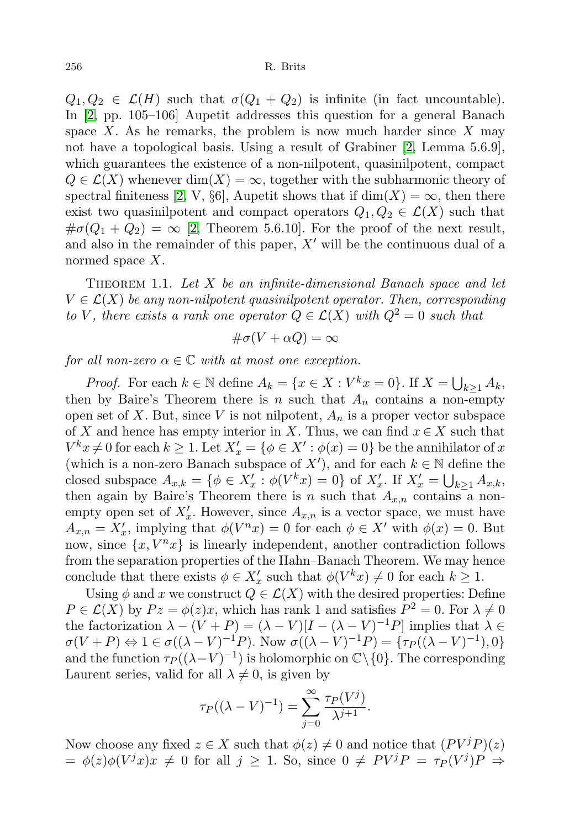$Q_1, Q_2 \in \mathcal{L}(H)$  such that  $\sigma(Q_1 + Q_2)$  is infinite (in fact uncountable). In [\[2,](#page-10-0) pp. 105–106] Aupetit addresses this question for a general Banach space X. As he remarks, the problem is now much harder since  $X$  may not have a topological basis. Using a result of Grabiner [\[2,](#page-10-0) Lemma 5.6.9], which guarantees the existence of a non-nilpotent, quasinilpotent, compact  $Q \in \mathcal{L}(X)$  whenever  $\dim(X) = \infty$ , together with the subharmonic theory of spectral finiteness [\[2,](#page-10-0) V, §6], Aupetit shows that if  $\dim(X) = \infty$ , then there exist two quasinilpotent and compact operators  $Q_1, Q_2 \in \mathcal{L}(X)$  such that  $\#\sigma(Q_1+Q_2)=\infty$  [\[2,](#page-10-0) Theorem 5.6.10]. For the proof of the next result, and also in the remainder of this paper,  $X'$  will be the continuous dual of a normed space X.

<span id="page-3-0"></span>THEOREM 1.1. Let  $X$  be an infinite-dimensional Banach space and let  $V \in \mathcal{L}(X)$  be any non-nilpotent quasinilpotent operator. Then, corresponding to V, there exists a rank one operator  $Q \in \mathcal{L}(X)$  with  $Q^2 = 0$  such that

$$
\#\sigma(V+\alpha Q)=\infty
$$

for all non-zero  $\alpha \in \mathbb{C}$  with at most one exception.

*Proof.* For each  $k \in \mathbb{N}$  define  $A_k = \{x \in X : V^k x = 0\}$ . If  $X = \bigcup_{k \ge 1} A_k$ , then by Baire's Theorem there is n such that  $A_n$  contains a non-empty open set of X. But, since V is not nilpotent,  $A_n$  is a proper vector subspace of X and hence has empty interior in X. Thus, we can find  $x \in X$  such that  $V^k x \neq 0$  for each  $k \geq 1$ . Let  $X'_x = \{\phi \in X' : \phi(x) = 0\}$  be the annihilator of x (which is a non-zero Banach subspace of X'), and for each  $k \in \mathbb{N}$  define the closed subspace  $A_{x,k} = \{ \phi \in X'_x : \phi(V^k x) = 0 \}$  of  $X'_x$ . If  $X'_x = \bigcup_{k \geq 1} A_{x,k}$ , then again by Baire's Theorem there is n such that  $A_{x,n}$  contains a nonempty open set of  $X'_x$ . However, since  $A_{x,n}$  is a vector space, we must have  $A_{x,n} = X'_x$ , implying that  $\phi(V^n x) = 0$  for each  $\phi \in X'$  with  $\phi(x) = 0$ . But now, since  $\{x, V^n x\}$  is linearly independent, another contradiction follows from the separation properties of the Hahn–Banach Theorem. We may hence conclude that there exists  $\phi \in X'_x$  such that  $\phi(V^k x) \neq 0$  for each  $k \geq 1$ .

Using  $\phi$  and x we construct  $Q \in \mathcal{L}(X)$  with the desired properties: Define  $P \in \mathcal{L}(X)$  by  $Pz = \phi(z)x$ , which has rank 1 and satisfies  $P^2 = 0$ . For  $\lambda \neq 0$ the factorization  $\lambda - (V + P) = (\lambda - V)[I - (\lambda - V)^{-1}P]$  implies that  $\lambda \in$  $\sigma(V+P) \Leftrightarrow 1 \in \sigma((\lambda-V)^{-1}P)$ . Now  $\sigma((\lambda-V)^{-1}P) = {\tau_P((\lambda-V)^{-1}),0}$ and the function  $\tau_P((\lambda-V)^{-1})$  is holomorphic on  $\mathbb{C}\backslash\{0\}$ . The corresponding Laurent series, valid for all  $\lambda \neq 0$ , is given by

$$
\tau_P((\lambda - V)^{-1}) = \sum_{j=0}^{\infty} \frac{\tau_P(V^j)}{\lambda^{j+1}}.
$$

Now choose any fixed  $z \in X$  such that  $\phi(z) \neq 0$  and notice that  $(PV^jP)(z)$  $= \phi(z)\phi(V^{j}x)x \neq 0$  for all  $j \geq 1$ . So, since  $0 \neq PV^{j}P = \tau_{P}(V^{j})P \Rightarrow$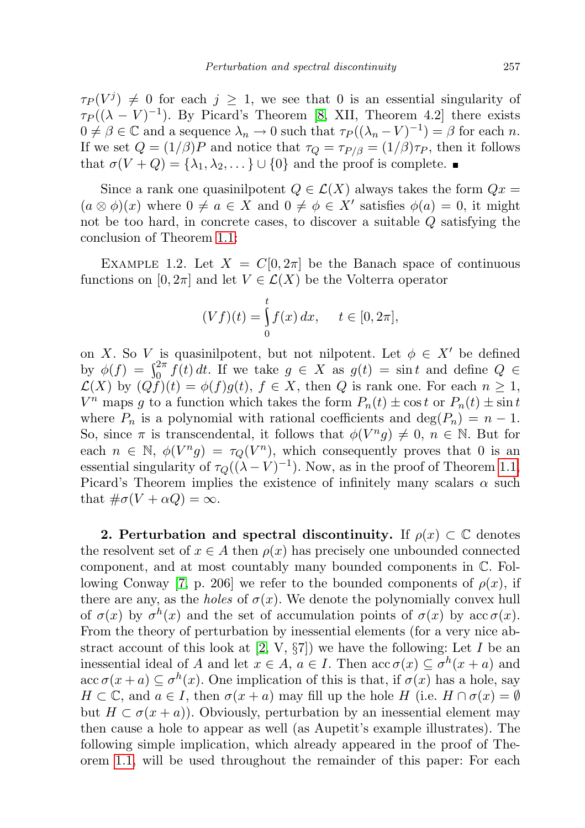$\tau_P(V^j) \neq 0$  for each  $j \geq 1$ , we see that 0 is an essential singularity of  $\tau_P((\lambda - V)^{-1})$ . By Picard's Theorem [\[8,](#page-10-12) XII, Theorem 4.2] there exists  $0 \neq \beta \in \mathbb{C}$  and a sequence  $\lambda_n \to 0$  such that  $\tau_P((\lambda_n - V)^{-1}) = \beta$  for each n. If we set  $Q = (1/\beta)P$  and notice that  $\tau_Q = \tau_{P/\beta} = (1/\beta)\tau_P$ , then it follows that  $\sigma(V+Q) = {\lambda_1, \lambda_2, \ldots} \cup {0}$  and the proof is complete.

Since a rank one quasinilpotent  $Q \in \mathcal{L}(X)$  always takes the form  $Qx =$  $(a \otimes \phi)(x)$  where  $0 \neq a \in X$  and  $0 \neq \phi \in X'$  satisfies  $\phi(a) = 0$ , it might not be too hard, in concrete cases, to discover a suitable Q satisfying the conclusion of Theorem [1.1:](#page-3-0)

EXAMPLE 1.2. Let  $X = C[0, 2\pi]$  be the Banach space of continuous functions on  $[0, 2\pi]$  and let  $V \in \mathcal{L}(X)$  be the Volterra operator

$$
(Vf)(t) = \int_{0}^{t} f(x) \, dx, \quad t \in [0, 2\pi],
$$

on X. So V is quasinilpotent, but not nilpotent. Let  $\phi \in X'$  be defined by  $\phi(f) = \int_0^{2\pi} f(t) dt$ . If we take  $g \in X$  as  $g(t) = \sin t$  and define  $Q \in$  $\mathcal{L}(X)$  by  $(Qf)(t) = \phi(f)g(t), f \in X$ , then Q is rank one. For each  $n \geq 1$ ,  $V^n$  maps g to a function which takes the form  $P_n(t) \pm \cos t$  or  $P_n(t) \pm \sin t$ where  $P_n$  is a polynomial with rational coefficients and  $\deg(P_n) = n - 1$ . So, since  $\pi$  is transcendental, it follows that  $\phi(V^n g) \neq 0, n \in \mathbb{N}$ . But for each  $n \in \mathbb{N}$ ,  $\phi(V^n g) = \tau_Q(V^n)$ , which consequently proves that 0 is an essential singularity of  $\tau_Q((\lambda - V)^{-1})$ . Now, as in the proof of Theorem [1.1,](#page-3-0) Picard's Theorem implies the existence of infinitely many scalars  $\alpha$  such that  $\#\sigma(V+\alpha Q)=\infty$ .

2. Perturbation and spectral discontinuity. If  $\rho(x) \subset \mathbb{C}$  denotes the resolvent set of  $x \in A$  then  $\rho(x)$  has precisely one unbounded connected component, and at most countably many bounded components in C. Fol-lowing Conway [\[7,](#page-10-13) p. 206] we refer to the bounded components of  $\rho(x)$ , if there are any, as the *holes* of  $\sigma(x)$ . We denote the polynomially convex hull of  $\sigma(x)$  by  $\sigma^{h}(x)$  and the set of accumulation points of  $\sigma(x)$  by acc $\sigma(x)$ . From the theory of perturbation by inessential elements (for a very nice abstract account of this look at  $(2, V, \S7)$  we have the following: Let I be an inessential ideal of A and let  $x \in A$ ,  $a \in I$ . Then  $\operatorname{acc} \sigma(x) \subseteq \sigma^h(x+a)$  and  $\operatorname{acc} \sigma(x+a) \subseteq \sigma^h(x)$ . One implication of this is that, if  $\sigma(x)$  has a hole, say  $H \subset \mathbb{C}$ , and  $a \in I$ , then  $\sigma(x+a)$  may fill up the hole H (i.e.  $H \cap \sigma(x) = \emptyset$ but  $H \subset \sigma(x+a)$ . Obviously, perturbation by an inessential element may then cause a hole to appear as well (as Aupetit's example illustrates). The following simple implication, which already appeared in the proof of Theorem [1.1,](#page-3-0) will be used throughout the remainder of this paper: For each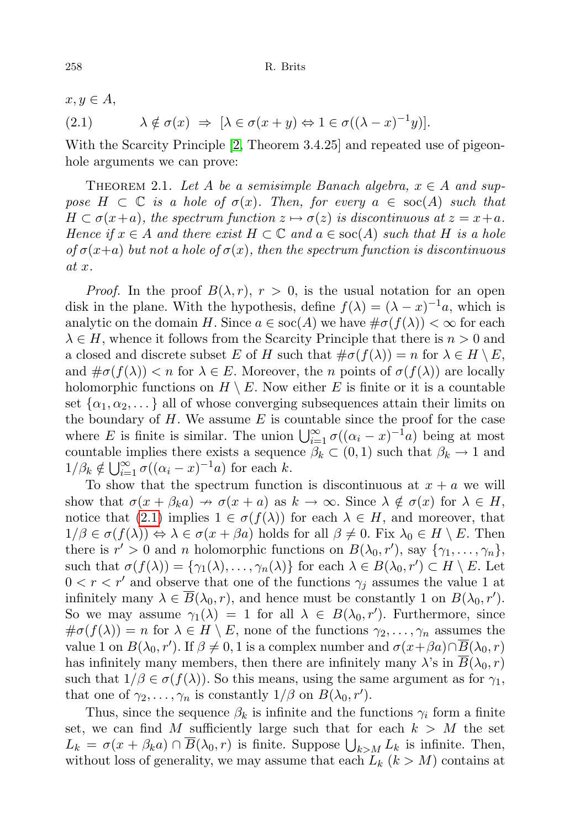$x, y \in A$ ,

<span id="page-5-0"></span>(2.1) 
$$
\lambda \notin \sigma(x) \Rightarrow [\lambda \in \sigma(x+y) \Leftrightarrow 1 \in \sigma((\lambda - x)^{-1}y)].
$$

With the Scarcity Principle [\[2,](#page-10-0) Theorem 3.4.25] and repeated use of pigeonhole arguments we can prove:

<span id="page-5-1"></span>THEOREM 2.1. Let A be a semisimple Banach algebra,  $x \in A$  and suppose  $H \subset \mathbb{C}$  is a hole of  $\sigma(x)$ . Then, for every  $a \in \text{soc}(A)$  such that  $H \subset \sigma(x+a)$ , the spectrum function  $z \mapsto \sigma(z)$  is discontinuous at  $z = x+a$ . Hence if  $x \in A$  and there exist  $H \subset \mathbb{C}$  and  $a \in \text{soc}(A)$  such that H is a hole of  $\sigma(x+a)$  but not a hole of  $\sigma(x)$ , then the spectrum function is discontinuous at x.

*Proof.* In the proof  $B(\lambda, r)$ ,  $r > 0$ , is the usual notation for an open disk in the plane. With the hypothesis, define  $f(\lambda) = (\lambda - x)^{-1}a$ , which is analytic on the domain H. Since  $a \in \text{soc}(A)$  we have  $\#\sigma(f(\lambda)) < \infty$  for each  $\lambda \in H$ , whence it follows from the Scarcity Principle that there is  $n > 0$  and a closed and discrete subset E of H such that  $\#\sigma(f(\lambda)) = n$  for  $\lambda \in H \setminus E$ , and  $\#\sigma(f(\lambda)) < n$  for  $\lambda \in E$ . Moreover, the *n* points of  $\sigma(f(\lambda))$  are locally holomorphic functions on  $H \setminus E$ . Now either E is finite or it is a countable set  $\{\alpha_1, \alpha_2, \dots\}$  all of whose converging subsequences attain their limits on the boundary of  $H$ . We assume  $E$  is countable since the proof for the case where E is finite is similar. The union  $\bigcup_{i=1}^{\infty} \sigma((\alpha_i - x)^{-1}a)$  being at most countable implies there exists a sequence  $\beta_k \subset (0,1)$  such that  $\beta_k \to 1$  and  $1/\beta_k \notin \bigcup_{i=1}^{\infty} \sigma((\alpha_i - x)^{-1}a)$  for each k.

To show that the spectrum function is discontinuous at  $x + a$  we will show that  $\sigma(x + \beta_k a) \to \sigma(x + a)$  as  $k \to \infty$ . Since  $\lambda \notin \sigma(x)$  for  $\lambda \in H$ , notice that [\(2.1\)](#page-5-0) implies  $1 \in \sigma(f(\lambda))$  for each  $\lambda \in H$ , and moreover, that  $1/\beta \in \sigma(f(\lambda)) \Leftrightarrow \lambda \in \sigma(x + \beta a)$  holds for all  $\beta \neq 0$ . Fix  $\lambda_0 \in H \setminus E$ . Then there is  $r' > 0$  and n holomorphic functions on  $B(\lambda_0, r')$ , say  $\{\gamma_1, \ldots, \gamma_n\}$ , such that  $\sigma(f(\lambda)) = {\gamma_1(\lambda), \ldots, \gamma_n(\lambda)}$  for each  $\lambda \in B(\lambda_0, r') \subset H \setminus E$ . Let  $0 < r < r'$  and observe that one of the functions  $\gamma_j$  assumes the value 1 at infinitely many  $\lambda \in \overline{B}(\lambda_0, r)$ , and hence must be constantly 1 on  $B(\lambda_0, r')$ . So we may assume  $\gamma_1(\lambda) = 1$  for all  $\lambda \in B(\lambda_0, r')$ . Furthermore, since  $\#\sigma(f(\lambda)) = n$  for  $\lambda \in H \setminus E$ , none of the functions  $\gamma_2, \ldots, \gamma_n$  assumes the value 1 on  $B(\lambda_0, r')$ . If  $\beta \neq 0, 1$  is a complex number and  $\sigma(x+\beta a) \cap \overline{B}(\lambda_0, r)$ has infinitely many members, then there are infinitely many  $\lambda$ 's in  $B(\lambda_0, r)$ such that  $1/\beta \in \sigma(f(\lambda))$ . So this means, using the same argument as for  $\gamma_1$ , that one of  $\gamma_2, \ldots, \gamma_n$  is constantly  $1/\beta$  on  $B(\lambda_0, r')$ .

Thus, since the sequence  $\beta_k$  is infinite and the functions  $\gamma_i$  form a finite set, we can find M sufficiently large such that for each  $k > M$  the set  $L_k = \sigma(x + \beta_k a) \cap \overline{B}(\lambda_0, r)$  is finite. Suppose  $\bigcup_{k > M} L_k$  is infinite. Then, without loss of generality, we may assume that each  $L_k$   $(k > M)$  contains at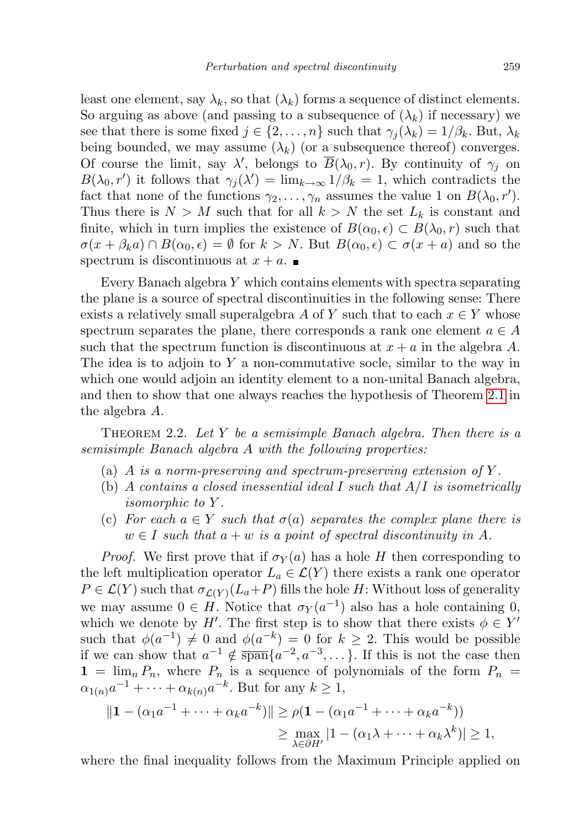least one element, say  $\lambda_k$ , so that  $(\lambda_k)$  forms a sequence of distinct elements. So arguing as above (and passing to a subsequence of  $(\lambda_k)$  if necessary) we see that there is some fixed  $j \in \{2, \ldots, n\}$  such that  $\gamma_i(\lambda_k) = 1/\beta_k$ . But,  $\lambda_k$ being bounded, we may assume  $(\lambda_k)$  (or a subsequence thereof) converges. Of course the limit, say  $\lambda'$ , belongs to  $\overline{B}(\lambda_0, r)$ . By continuity of  $\gamma_j$  on  $B(\lambda_0, r')$  it follows that  $\gamma_j(\lambda') = \lim_{k \to \infty} 1/\beta_k = 1$ , which contradicts the fact that none of the functions  $\gamma_2, \ldots, \gamma_n$  assumes the value 1 on  $B(\lambda_0, r')$ . Thus there is  $N > M$  such that for all  $k > N$  the set  $L_k$  is constant and finite, which in turn implies the existence of  $B(\alpha_0, \epsilon) \subset B(\lambda_0, r)$  such that  $\sigma(x + \beta_k a) \cap B(\alpha_0, \epsilon) = \emptyset$  for  $k > N$ . But  $B(\alpha_0, \epsilon) \subset \sigma(x + a)$  and so the spectrum is discontinuous at  $x + a$ .

Every Banach algebra Y which contains elements with spectra separating the plane is a source of spectral discontinuities in the following sense: There exists a relatively small superalgebra A of Y such that to each  $x \in Y$  whose spectrum separates the plane, there corresponds a rank one element  $a \in A$ such that the spectrum function is discontinuous at  $x + a$  in the algebra A. The idea is to adjoin to  $Y$  a non-commutative socle, similar to the way in which one would adjoin an identity element to a non-unital Banach algebra, and then to show that one always reaches the hypothesis of Theorem [2.1](#page-5-1) in the algebra A.

<span id="page-6-0"></span>THEOREM 2.2. Let Y be a semisimple Banach algebra. Then there is a semisimple Banach algebra A with the following properties:

- (a) A is a norm-preserving and spectrum-preserving extension of Y.
- (b) A contains a closed inessential ideal I such that  $A/I$  is isometrically isomorphic to Y .
- (c) For each  $a \in Y$  such that  $\sigma(a)$  separates the complex plane there is  $w \in I$  such that  $a + w$  is a point of spectral discontinuity in A.

*Proof.* We first prove that if  $\sigma_Y(a)$  has a hole H then corresponding to the left multiplication operator  $L_a \in \mathcal{L}(Y)$  there exists a rank one operator  $P \in \mathcal{L}(Y)$  such that  $\sigma_{\mathcal{L}(Y)}(L_a+P)$  fills the hole H: Without loss of generality we may assume  $0 \in H$ . Notice that  $\sigma_Y(a^{-1})$  also has a hole containing 0, which we denote by H'. The first step is to show that there exists  $\phi \in Y'$ such that  $\phi(a^{-1}) \neq 0$  and  $\phi(a^{-k}) = 0$  for  $k \geq 2$ . This would be possible if we can show that  $a^{-1} \notin \overline{\text{span}}\{a^{-2}, a^{-3}, \dots\}$ . If this is not the case then  $1 = \lim_{n} P_n$ , where  $P_n$  is a sequence of polynomials of the form  $P_n =$  $\alpha_{1(n)}a^{-1} + \cdots + \alpha_{k(n)}a^{-k}$ . But for any  $k \geq 1$ ,

$$
||1 - (\alpha_1 a^{-1} + \dots + \alpha_k a^{-k})|| \ge \rho (1 - (\alpha_1 a^{-1} + \dots + \alpha_k a^{-k}))
$$
  
\n
$$
\ge \max_{\lambda \in \partial H'} |1 - (\alpha_1 \lambda + \dots + \alpha_k \lambda^k)| \ge 1,
$$

where the final inequality follows from the Maximum Principle applied on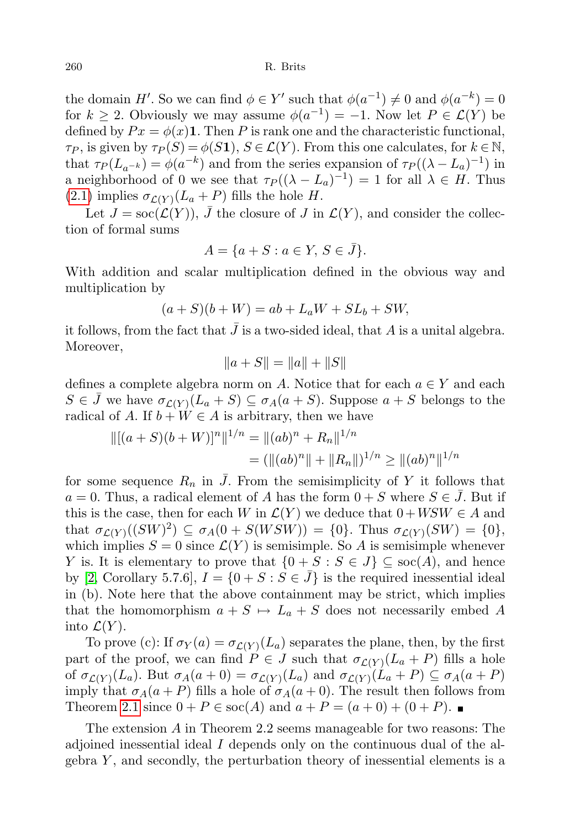the domain H'. So we can find  $\phi \in Y'$  such that  $\phi(a^{-1}) \neq 0$  and  $\phi(a^{-k}) = 0$ for  $k \geq 2$ . Obviously we may assume  $\phi(a^{-1}) = -1$ . Now let  $P \in \mathcal{L}(Y)$  be defined by  $Px = \phi(x)$ 1. Then P is rank one and the characteristic functional,  $\tau_P$ , is given by  $\tau_P(S) = \phi(S1), S \in \mathcal{L}(Y)$ . From this one calculates, for  $k \in \mathbb{N}$ , that  $\tau_P(L_{a^{-k}}) = \phi(a^{-k})$  and from the series expansion of  $\tau_P((\lambda - L_a)^{-1})$  in a neighborhood of 0 we see that  $\tau_P((\lambda - L_a)^{-1}) = 1$  for all  $\lambda \in H$ . Thus  $(2.1)$  implies  $\sigma_{\mathcal{L}(Y)}(L_a + P)$  fills the hole H.

Let  $J = \text{soc}(\mathcal{L}(Y))$ , J the closure of J in  $\mathcal{L}(Y)$ , and consider the collection of formal sums

$$
A = \{a + S : a \in Y, S \in \bar{J}\}.
$$

With addition and scalar multiplication defined in the obvious way and multiplication by

$$
(a+S)(b+W) = ab + L_aW + SL_b + SW,
$$

it follows, from the fact that  $J$  is a two-sided ideal, that  $A$  is a unital algebra. Moreover,

$$
||a + S|| = ||a|| + ||S||
$$

defines a complete algebra norm on A. Notice that for each  $a \in Y$  and each  $S \in \bar{J}$  we have  $\sigma_{\mathcal{L}(Y)}(L_a + S) \subseteq \sigma_A(a + S)$ . Suppose  $a + S$  belongs to the radical of A. If  $b + W \in A$  is arbitrary, then we have

$$
\begin{aligned} \n\|[(a+S)(b+W)]^n\|^{1/n} &= \|(ab)^n + R_n\|^{1/n} \\ \n&= (\|(ab)^n\| + \|R_n\|)^{1/n} \ge \|(ab)^n\|^{1/n} \n\end{aligned}
$$

for some sequence  $R_n$  in  $\bar{J}$ . From the semisimplicity of Y it follows that  $a = 0$ . Thus, a radical element of A has the form  $0 + S$  where  $S \in J$ . But if this is the case, then for each W in  $\mathcal{L}(Y)$  we deduce that  $0 + WSW \in A$  and that  $\sigma_{\mathcal{L}(Y)}((SW)^2) \subseteq \sigma_A(0 + S(WSW)) = \{0\}.$  Thus  $\sigma_{\mathcal{L}(Y)}(SW) = \{0\},$ which implies  $S = 0$  since  $\mathcal{L}(Y)$  is semisimple. So A is semisimple whenever Y is. It is elementary to prove that  $\{0 + S : S \in J\} \subseteq \text{soc}(A)$ , and hence by [\[2,](#page-10-0) Corollary 5.7.6],  $I = \{0 + S : S \in \bar{J}\}\$ is the required inessential ideal in (b). Note here that the above containment may be strict, which implies that the homomorphism  $a + S \mapsto L_a + S$  does not necessarily embed A into  $\mathcal{L}(Y)$ .

To prove (c): If  $\sigma_Y(a) = \sigma_{\mathcal{L}(Y)}(L_a)$  separates the plane, then, by the first part of the proof, we can find  $P \in J$  such that  $\sigma_{\mathcal{L}(Y)}(L_a + P)$  fills a hole of  $\sigma_{\mathcal{L}(Y)}(L_a)$ . But  $\sigma_A(a+0) = \sigma_{\mathcal{L}(Y)}(L_a)$  and  $\sigma_{\mathcal{L}(Y)}(L_a+P) \subseteq \sigma_A(a+P)$ imply that  $\sigma_A(a+P)$  fills a hole of  $\sigma_A(a+0)$ . The result then follows from Theorem [2.1](#page-5-1) since  $0 + P \in \text{soc}(A)$  and  $a + P = (a + 0) + (0 + P)$ .

The extension A in Theorem 2.2 seems manageable for two reasons: The adjoined inessential ideal  $I$  depends only on the continuous dual of the algebra  $Y$ , and secondly, the perturbation theory of inessential elements is a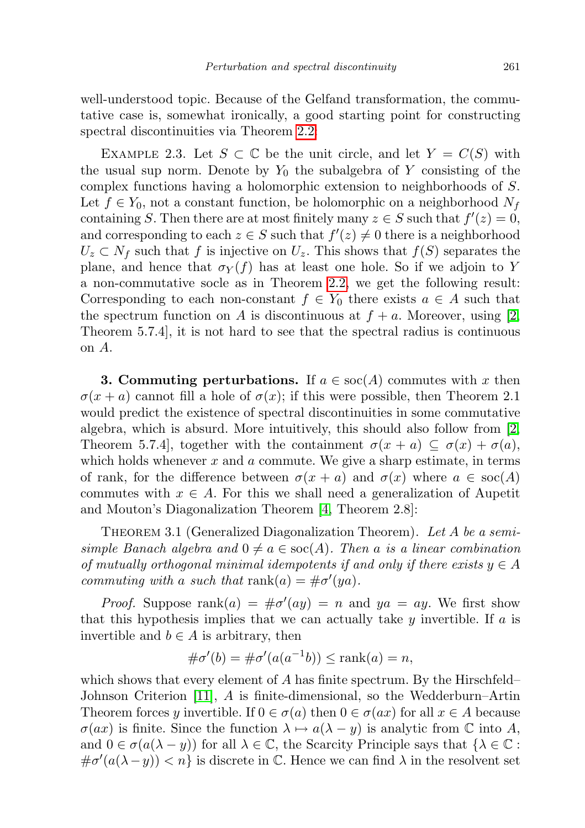well-understood topic. Because of the Gelfand transformation, the commutative case is, somewhat ironically, a good starting point for constructing spectral discontinuities via Theorem [2.2:](#page-6-0)

<span id="page-8-0"></span>EXAMPLE 2.3. Let  $S \subset \mathbb{C}$  be the unit circle, and let  $Y = C(S)$  with the usual sup norm. Denote by  $Y_0$  the subalgebra of Y consisting of the complex functions having a holomorphic extension to neighborhoods of S. Let  $f \in Y_0$ , not a constant function, be holomorphic on a neighborhood  $N_f$ containing S. Then there are at most finitely many  $z \in S$  such that  $f'(z) = 0$ , and corresponding to each  $z \in S$  such that  $f'(z) \neq 0$  there is a neighborhood  $U_z \subset N_f$  such that f is injective on  $U_z$ . This shows that  $f(S)$  separates the plane, and hence that  $\sigma_Y(f)$  has at least one hole. So if we adjoin to Y a non-commutative socle as in Theorem [2.2,](#page-6-0) we get the following result: Corresponding to each non-constant  $f \in Y_0$  there exists  $a \in A$  such that the spectrum function on A is discontinuous at  $f + a$ . Moreover, using [\[2,](#page-10-0) Theorem 5.7.4], it is not hard to see that the spectral radius is continuous on A.

**3. Commuting perturbations.** If  $a \in \text{soc}(A)$  commutes with x then  $\sigma(x + a)$  cannot fill a hole of  $\sigma(x)$ ; if this were possible, then Theorem 2.1 would predict the existence of spectral discontinuities in some commutative algebra, which is absurd. More intuitively, this should also follow from [\[2,](#page-10-0) Theorem 5.7.4], together with the containment  $\sigma(x + a) \subseteq \sigma(x) + \sigma(a)$ , which holds whenever  $x$  and  $a$  commute. We give a sharp estimate, in terms of rank, for the difference between  $\sigma(x + a)$  and  $\sigma(x)$  where  $a \in \text{soc}(A)$ commutes with  $x \in A$ . For this we shall need a generalization of Aupetit and Mouton's Diagonalization Theorem [\[4,](#page-10-8) Theorem 2.8]:

<span id="page-8-1"></span>THEOREM 3.1 (Generalized Diagonalization Theorem). Let A be a semisimple Banach algebra and  $0 \neq a \in \text{soc}(A)$ . Then a is a linear combination of mutually orthogonal minimal idempotents if and only if there exists  $y \in A$ commuting with a such that rank $(a) = \# \sigma'(ya)$ .

*Proof.* Suppose  $\text{rank}(a) = \text{\#}\sigma'(ay) = n$  and  $ya = ay$ . We first show that this hypothesis implies that we can actually take  $y$  invertible. If  $a$  is invertible and  $b \in A$  is arbitrary, then

$$
\#\sigma'(b) = \#\sigma'(a(a^{-1}b)) \le \operatorname{rank}(a) = n,
$$

which shows that every element of  $A$  has finite spectrum. By the Hirschfeld– Johnson Criterion [\[11\]](#page-10-14), A is finite-dimensional, so the Wedderburn–Artin Theorem forces y invertible. If  $0 \in \sigma(a)$  then  $0 \in \sigma(ax)$  for all  $x \in A$  because  $\sigma(ax)$  is finite. Since the function  $\lambda \mapsto a(\lambda - y)$  is analytic from C into A, and  $0 \in \sigma(a(\lambda - y))$  for all  $\lambda \in \mathbb{C}$ , the Scarcity Principle says that  $\{\lambda \in \mathbb{C} :$  $\#\sigma'(a(\lambda-y)) < n$  is discrete in C. Hence we can find  $\lambda$  in the resolvent set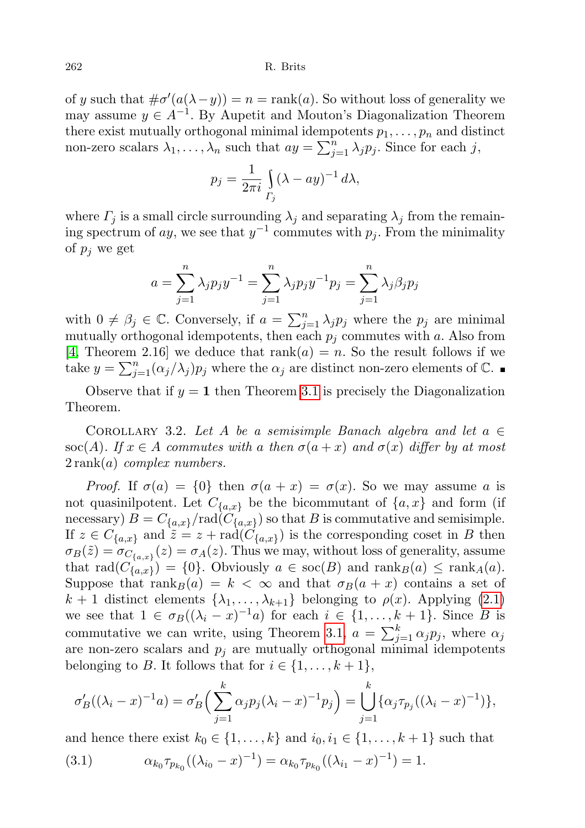of y such that  $\#\sigma'(a(\lambda - y)) = n = \text{rank}(a)$ . So without loss of generality we may assume  $y \in A^{-1}$ . By Aupetit and Mouton's Diagonalization Theorem there exist mutually orthogonal minimal idempotents  $p_1, \ldots, p_n$  and distinct non-zero scalars  $\lambda_1, \ldots, \lambda_n$  such that  $ay = \sum_{j=1}^n \lambda_j p_j$ . Since for each j,

$$
p_j = \frac{1}{2\pi i} \int\limits_{\Gamma_j} (\lambda - ay)^{-1} d\lambda,
$$

where  $\Gamma_j$  is a small circle surrounding  $\lambda_j$  and separating  $\lambda_j$  from the remaining spectrum of ay, we see that  $y^{-1}$  commutes with  $p_j$ . From the minimality of  $p_i$  we get

$$
a = \sum_{j=1}^{n} \lambda_j p_j y^{-1} = \sum_{j=1}^{n} \lambda_j p_j y^{-1} p_j = \sum_{j=1}^{n} \lambda_j \beta_j p_j
$$

with  $0 \neq \beta_j \in \mathbb{C}$ . Conversely, if  $a = \sum_{j=1}^n \lambda_j p_j$  where the  $p_j$  are minimal mutually orthogonal idempotents, then each  $p_i$  commutes with a. Also from [\[4,](#page-10-8) Theorem 2.16] we deduce that  $rank(a) = n$ . So the result follows if we take  $y = \sum_{j=1}^{n} (\alpha_j/\lambda_j) p_j$  where the  $\alpha_j$  are distinct non-zero elements of  $\mathbb{C}$ .

Observe that if  $y = 1$  then Theorem [3.1](#page-8-1) is precisely the Diagonalization Theorem.

COROLLARY 3.2. Let A be a semisimple Banach algebra and let  $a \in$ soc(A). If  $x \in A$  commutes with a then  $\sigma(a+x)$  and  $\sigma(x)$  differ by at most  $2 \text{ rank}(a)$  complex numbers.

Proof. If  $\sigma(a) = \{0\}$  then  $\sigma(a + x) = \sigma(x)$ . So we may assume a is not quasinilpotent. Let  $C_{\{a,x\}}$  be the bicommutant of  $\{a,x\}$  and form (if necessary)  $B = C_{\{a,x\}} / \text{rad}(C_{\{a,x\}})$  so that B is commutative and semisimple. If  $z \in C_{\{a,x\}}$  and  $\tilde{z} = z + \text{rad}(C_{\{a,x\}})$  is the corresponding coset in B then  $\sigma_B(\tilde{z}) = \sigma_{C_{\{a,x\}}}(z) = \sigma_A(z)$ . Thus we may, without loss of generality, assume that  $\text{rad}(C_{\{a,x\}}) = \{0\}.$  Obviously  $a \in \text{soc}(B)$  and  $\text{rank}_B(a) \leq \text{rank}_A(a)$ . Suppose that  $\operatorname{rank}_B(a) = k < \infty$  and that  $\sigma_B(a + x)$  contains a set of  $k + 1$  distinct elements  $\{\lambda_1, \ldots, \lambda_{k+1}\}\$  belonging to  $\rho(x)$ . Applying [\(2.1\)](#page-5-0) we see that  $1 \in \sigma_B((\lambda_i - x)^{-1}a)$  for each  $i \in \{1, ..., k + 1\}$ . Since B is commutative we can write, using Theorem [3.1,](#page-8-1)  $a = \sum_{j=1}^{k} \alpha_j p_j$ , where  $\alpha_j$ are non-zero scalars and  $p_j$  are mutually orthogonal minimal idempotents belonging to B. It follows that for  $i \in \{1, \ldots, k+1\},\$ 

$$
\sigma'_B((\lambda_i - x)^{-1}a) = \sigma'_B\Big(\sum_{j=1}^k \alpha_j p_j(\lambda_i - x)^{-1}p_j\Big) = \bigcup_{j=1}^k \{\alpha_j \tau_{p_j}((\lambda_i - x)^{-1})\},\
$$

<span id="page-9-0"></span>and hence there exist  $k_0 \in \{1, \ldots, k\}$  and  $i_0, i_1 \in \{1, \ldots, k+1\}$  such that  $(3.1)$  $\tau_{p_{k_0}}((\lambda_{i_0}-x)^{-1})=\alpha_{k_0}\tau_{p_{k_0}}((\lambda_{i_1}-x)^{-1})=1.$